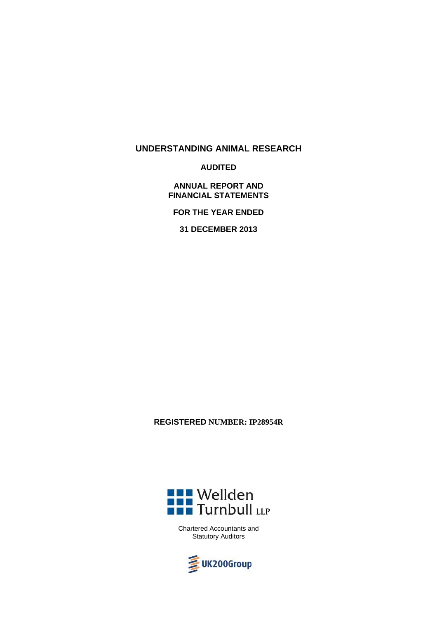**AUDITED** 

**ANNUAL REPORT AND FINANCIAL STATEMENTS**

**FOR THE YEAR ENDED**

**31 DECEMBER 2013**

**REGISTERED NUMBER: IP28954R** 



Chartered Accountants and **Statutory Auditors** 

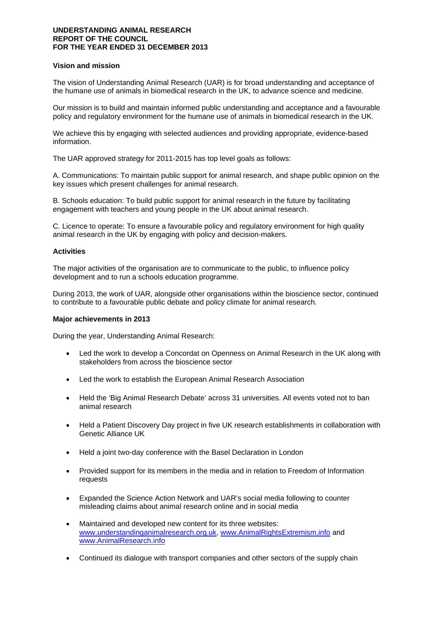#### **UNDERSTANDING ANIMAL RESEARCH REPORT OF THE COUNCIL FOR THE YEAR ENDED 31 DECEMBER 2013**

## **Vision and mission**

The vision of Understanding Animal Research (UAR) is for broad understanding and acceptance of the humane use of animals in biomedical research in the UK, to advance science and medicine.

Our mission is to build and maintain informed public understanding and acceptance and a favourable policy and regulatory environment for the humane use of animals in biomedical research in the UK.

We achieve this by engaging with selected audiences and providing appropriate, evidence-based information.

The UAR approved strategy for 2011-2015 has top level goals as follows:

A. Communications: To maintain public support for animal research, and shape public opinion on the key issues which present challenges for animal research.

B. Schools education: To build public support for animal research in the future by facilitating engagement with teachers and young people in the UK about animal research.

C. Licence to operate: To ensure a favourable policy and regulatory environment for high quality animal research in the UK by engaging with policy and decision-makers.

## **Activities**

The major activities of the organisation are to communicate to the public, to influence policy development and to run a schools education programme.

During 2013, the work of UAR, alongside other organisations within the bioscience sector, continued to contribute to a favourable public debate and policy climate for animal research.

#### **Major achievements in 2013**

During the year, Understanding Animal Research:

- Led the work to develop a Concordat on Openness on Animal Research in the UK along with stakeholders from across the bioscience sector
- Led the work to establish the European Animal Research Association
- Held the 'Big Animal Research Debate' across 31 universities. All events voted not to ban animal research
- Held a Patient Discovery Day project in five UK research establishments in collaboration with Genetic Alliance UK
- Held a joint two-day conference with the Basel Declaration in London
- Provided support for its members in the media and in relation to Freedom of Information requests
- Expanded the Science Action Network and UAR's social media following to counter misleading claims about animal research online and in social media
- Maintained and developed new content for its three websites: www.understandinganimalresearch.org.uk, www.AnimalRightsExtremism.info and www.AnimalResearch.info
- Continued its dialogue with transport companies and other sectors of the supply chain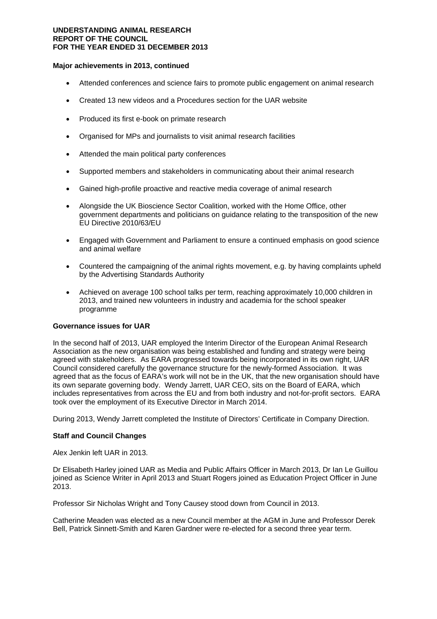#### **UNDERSTANDING ANIMAL RESEARCH REPORT OF THE COUNCIL FOR THE YEAR ENDED 31 DECEMBER 2013**

## **Major achievements in 2013, continued**

- Attended conferences and science fairs to promote public engagement on animal research
- Created 13 new videos and a Procedures section for the UAR website
- Produced its first e-book on primate research
- Organised for MPs and journalists to visit animal research facilities
- Attended the main political party conferences
- Supported members and stakeholders in communicating about their animal research
- Gained high-profile proactive and reactive media coverage of animal research
- Alongside the UK Bioscience Sector Coalition, worked with the Home Office, other government departments and politicians on guidance relating to the transposition of the new EU Directive 2010/63/EU
- Engaged with Government and Parliament to ensure a continued emphasis on good science and animal welfare
- Countered the campaigning of the animal rights movement, e.g. by having complaints upheld by the Advertising Standards Authority
- Achieved on average 100 school talks per term, reaching approximately 10,000 children in 2013, and trained new volunteers in industry and academia for the school speaker programme

#### **Governance issues for UAR**

In the second half of 2013, UAR employed the Interim Director of the European Animal Research Association as the new organisation was being established and funding and strategy were being agreed with stakeholders. As EARA progressed towards being incorporated in its own right, UAR Council considered carefully the governance structure for the newly-formed Association. It was agreed that as the focus of EARA's work will not be in the UK, that the new organisation should have its own separate governing body. Wendy Jarrett, UAR CEO, sits on the Board of EARA, which includes representatives from across the EU and from both industry and not-for-profit sectors. EARA took over the employment of its Executive Director in March 2014.

During 2013, Wendy Jarrett completed the Institute of Directors' Certificate in Company Direction.

#### **Staff and Council Changes**

Alex Jenkin left UAR in 2013.

Dr Elisabeth Harley joined UAR as Media and Public Affairs Officer in March 2013, Dr Ian Le Guillou joined as Science Writer in April 2013 and Stuart Rogers joined as Education Project Officer in June 2013.

Professor Sir Nicholas Wright and Tony Causey stood down from Council in 2013.

Catherine Meaden was elected as a new Council member at the AGM in June and Professor Derek Bell, Patrick Sinnett-Smith and Karen Gardner were re-elected for a second three year term.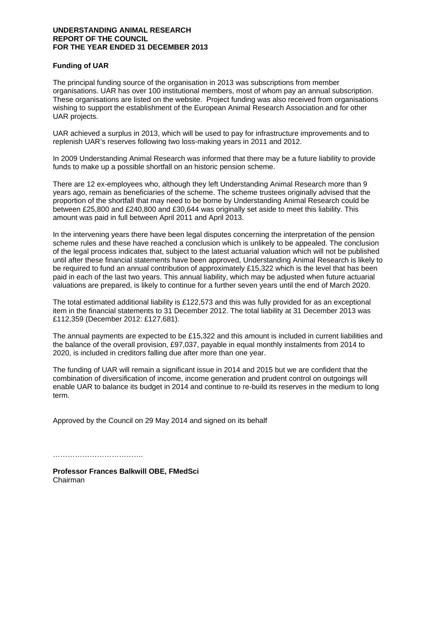#### **UNDERSTANDING ANIMAL RESEARCH REPORT OF THE COUNCIL FOR THE YEAR ENDED 31 DECEMBER 2013**

## **Funding of UAR**

The principal funding source of the organisation in 2013 was subscriptions from member organisations. UAR has over 100 institutional members, most of whom pay an annual subscription. These organisations are listed on the website. Project funding was also received from organisations wishing to support the establishment of the European Animal Research Association and for other UAR projects.

UAR achieved a surplus in 2013, which will be used to pay for infrastructure improvements and to replenish UAR's reserves following two loss-making years in 2011 and 2012.

In 2009 Understanding Animal Research was informed that there may be a future liability to provide funds to make up a possible shortfall on an historic pension scheme.

There are 12 ex-employees who, although they left Understanding Animal Research more than 9 years ago, remain as beneficiaries of the scheme. The scheme trustees originally advised that the proportion of the shortfall that may need to be borne by Understanding Animal Research could be between £25,800 and £240,800 and £30,644 was originally set aside to meet this liability. This amount was paid in full between April 2011 and April 2013.

In the intervening years there have been legal disputes concerning the interpretation of the pension scheme rules and these have reached a conclusion which is unlikely to be appealed. The conclusion of the legal process indicates that, subject to the latest actuarial valuation which will not be published until after these financial statements have been approved, Understanding Animal Research is likely to be required to fund an annual contribution of approximately £15,322 which is the level that has been paid in each of the last two years. This annual liability, which may be adjusted when future actuarial valuations are prepared, is likely to continue for a further seven years until the end of March 2020.

The total estimated additional liability is £122,573 and this was fully provided for as an exceptional item in the financial statements to 31 December 2012. The total liability at 31 December 2013 was £112,359 (December 2012: £127,681).

The annual payments are expected to be £15,322 and this amount is included in current liabilities and the balance of the overall provision, £97,037, payable in equal monthly instalments from 2014 to 2020, is included in creditors falling due after more than one year.

The funding of UAR will remain a significant issue in 2014 and 2015 but we are confident that the combination of diversification of income, income generation and prudent control on outgoings will enable UAR to balance its budget in 2014 and continue to re-build its reserves in the medium to long term.

Approved by the Council on 29 May 2014 and signed on its behalf

……………………………………

**Professor Frances Balkwill OBE, FMedSci**  Chairman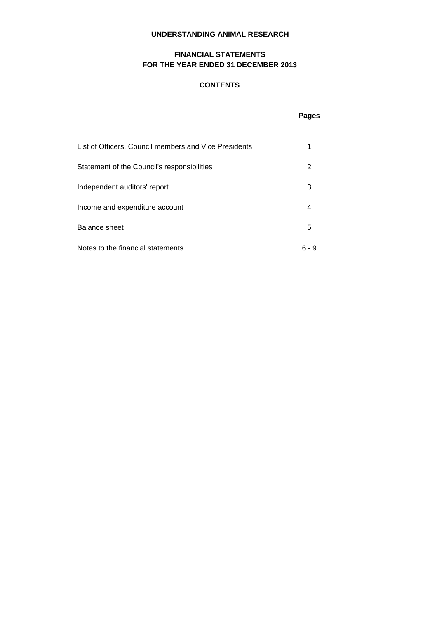# **FINANCIAL STATEMENTS FOR THE YEAR ENDED 31 DECEMBER 2013**

## **CONTENTS**

## **Pages**

| List of Officers, Council members and Vice Presidents |       |
|-------------------------------------------------------|-------|
| Statement of the Council's responsibilities           | 2     |
| Independent auditors' report                          | 3     |
| Income and expenditure account                        |       |
| Balance sheet                                         | 5     |
| Notes to the financial statements                     | ճ - 9 |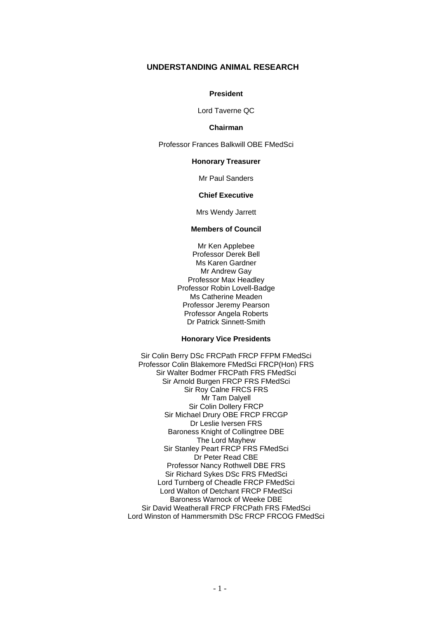### **President**

Lord Taverne QC

#### **Chairman**

Professor Frances Balkwill OBE FMedSci

#### **Honorary Treasurer**

Mr Paul Sanders

### **Chief Executive**

Mrs Wendy Jarrett

#### **Members of Council**

Mr Ken Applebee Professor Derek Bell Ms Karen Gardner Mr Andrew Gay Professor Max Headley Professor Robin Lovell-Badge Ms Catherine Meaden Professor Jeremy Pearson Professor Angela Roberts Dr Patrick Sinnett-Smith

#### **Honorary Vice Presidents**

Sir Colin Berry DSc FRCPath FRCP FFPM FMedSci Professor Colin Blakemore FMedSci FRCP(Hon) FRS Sir Walter Bodmer FRCPath FRS FMedSci Sir Arnold Burgen FRCP FRS FMedSci Sir Roy Calne FRCS FRS Mr Tam Dalyell Sir Colin Dollery FRCP Sir Michael Drury OBE FRCP FRCGP Dr Leslie Iversen FRS Baroness Knight of Collingtree DBE The Lord Mayhew Sir Stanley Peart FRCP FRS FMedSci Dr Peter Read CBE Professor Nancy Rothwell DBE FRS Sir Richard Sykes DSc FRS FMedSci Lord Turnberg of Cheadle FRCP FMedSci Lord Walton of Detchant FRCP FMedSci Baroness Warnock of Weeke DBE Sir David Weatherall FRCP FRCPath FRS FMedSci Lord Winston of Hammersmith DSc FRCP FRCOG FMedSci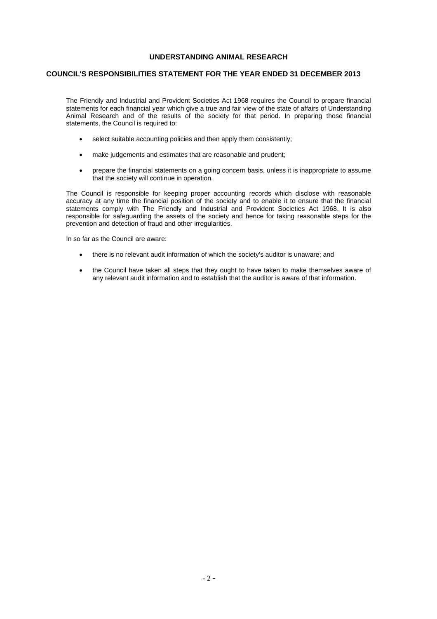#### **COUNCIL'S RESPONSIBILITIES STATEMENT FOR THE YEAR ENDED 31 DECEMBER 2013**

The Friendly and Industrial and Provident Societies Act 1968 requires the Council to prepare financial statements for each financial year which give a true and fair view of the state of affairs of Understanding Animal Research and of the results of the society for that period. In preparing those financial statements, the Council is required to:

- select suitable accounting policies and then apply them consistently;
- make judgements and estimates that are reasonable and prudent;
- prepare the financial statements on a going concern basis, unless it is inappropriate to assume that the society will continue in operation.

The Council is responsible for keeping proper accounting records which disclose with reasonable accuracy at any time the financial position of the society and to enable it to ensure that the financial statements comply with The Friendly and Industrial and Provident Societies Act 1968. It is also responsible for safeguarding the assets of the society and hence for taking reasonable steps for the prevention and detection of fraud and other irregularities.

In so far as the Council are aware:

- there is no relevant audit information of which the society's auditor is unaware; and
- the Council have taken all steps that they ought to have taken to make themselves aware of any relevant audit information and to establish that the auditor is aware of that information.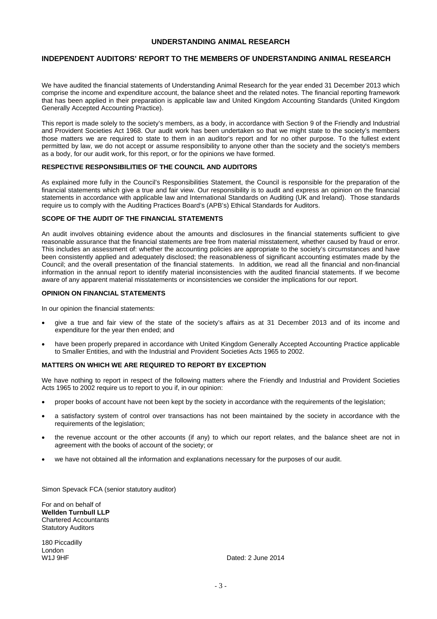## **INDEPENDENT AUDITORS' REPORT TO THE MEMBERS OF UNDERSTANDING ANIMAL RESEARCH**

We have audited the financial statements of Understanding Animal Research for the year ended 31 December 2013 which comprise the income and expenditure account, the balance sheet and the related notes. The financial reporting framework that has been applied in their preparation is applicable law and United Kingdom Accounting Standards (United Kingdom Generally Accepted Accounting Practice).

This report is made solely to the society's members, as a body, in accordance with Section 9 of the Friendly and Industrial and Provident Societies Act 1968. Our audit work has been undertaken so that we might state to the society's members those matters we are required to state to them in an auditor's report and for no other purpose. To the fullest extent permitted by law, we do not accept or assume responsibility to anyone other than the society and the society's members as a body, for our audit work, for this report, or for the opinions we have formed.

#### **RESPECTIVE RESPONSIBILITIES OF THE COUNCIL AND AUDITORS**

As explained more fully in the Council's Responsibilities Statement, the Council is responsible for the preparation of the financial statements which give a true and fair view. Our responsibility is to audit and express an opinion on the financial statements in accordance with applicable law and International Standards on Auditing (UK and Ireland). Those standards require us to comply with the Auditing Practices Board's (APB's) Ethical Standards for Auditors.

#### **SCOPE OF THE AUDIT OF THE FINANCIAL STATEMENTS**

An audit involves obtaining evidence about the amounts and disclosures in the financial statements sufficient to give reasonable assurance that the financial statements are free from material misstatement, whether caused by fraud or error. This includes an assessment of: whether the accounting policies are appropriate to the society's circumstances and have been consistently applied and adequately disclosed; the reasonableness of significant accounting estimates made by the Council; and the overall presentation of the financial statements. In addition, we read all the financial and non-financial information in the annual report to identify material inconsistencies with the audited financial statements. If we become aware of any apparent material misstatements or inconsistencies we consider the implications for our report.

#### **OPINION ON FINANCIAL STATEMENTS**

In our opinion the financial statements:

- give a true and fair view of the state of the society's affairs as at 31 December 2013 and of its income and expenditure for the year then ended; and
- have been properly prepared in accordance with United Kingdom Generally Accepted Accounting Practice applicable to Smaller Entities, and with the Industrial and Provident Societies Acts 1965 to 2002.

#### **MATTERS ON WHICH WE ARE REQUIRED TO REPORT BY EXCEPTION**

We have nothing to report in respect of the following matters where the Friendly and Industrial and Provident Societies Acts 1965 to 2002 require us to report to you if, in our opinion:

- proper books of account have not been kept by the society in accordance with the requirements of the legislation;
- a satisfactory system of control over transactions has not been maintained by the society in accordance with the requirements of the legislation:
- the revenue account or the other accounts (if any) to which our report relates, and the balance sheet are not in agreement with the books of account of the society; or
- we have not obtained all the information and explanations necessary for the purposes of our audit.

Simon Spevack FCA (senior statutory auditor)

For and on behalf of **Wellden Turnbull LLP**  Chartered Accountants Statutory Auditors

180 Piccadilly London

W1J 9HF **Dated: 2 June 2014**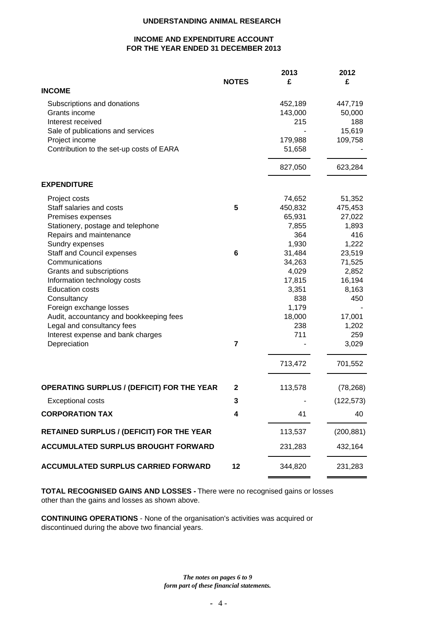# **INCOME AND EXPENDITURE ACCOUNT FOR THE YEAR ENDED 31 DECEMBER 2013**

|                                                     |                | 2013              | 2012             |
|-----------------------------------------------------|----------------|-------------------|------------------|
|                                                     | <b>NOTES</b>   | £                 | £                |
| <b>INCOME</b>                                       |                |                   |                  |
| Subscriptions and donations                         |                | 452,189           | 447,719          |
| Grants income                                       |                | 143,000           | 50,000           |
| Interest received                                   |                | 215               | 188              |
| Sale of publications and services                   |                |                   | 15,619           |
| Project income                                      |                | 179,988<br>51,658 | 109,758          |
| Contribution to the set-up costs of EARA            |                |                   |                  |
|                                                     |                | 827,050           | 623,284          |
| <b>EXPENDITURE</b>                                  |                |                   |                  |
| Project costs                                       |                | 74,652            | 51,352           |
| Staff salaries and costs                            | 5              | 450,832           | 475,453          |
| Premises expenses                                   |                | 65,931            | 27,022           |
| Stationery, postage and telephone                   |                | 7,855             | 1,893            |
| Repairs and maintenance                             |                | 364               | 416              |
| Sundry expenses                                     |                | 1,930             | 1,222            |
| <b>Staff and Council expenses</b><br>Communications | 6              | 31,484<br>34,263  | 23,519<br>71,525 |
| Grants and subscriptions                            |                | 4,029             | 2,852            |
| Information technology costs                        |                | 17,815            | 16,194           |
| <b>Education costs</b>                              |                | 3,351             | 8,163            |
| Consultancy                                         |                | 838               | 450              |
| Foreign exchange losses                             |                | 1,179             |                  |
| Audit, accountancy and bookkeeping fees             |                | 18,000            | 17,001           |
| Legal and consultancy fees                          |                | 238               | 1,202            |
| Interest expense and bank charges                   |                | 711               | 259              |
| Depreciation                                        | $\overline{7}$ |                   | 3,029            |
|                                                     |                | 713,472           | 701,552          |
| <b>OPERATING SURPLUS / (DEFICIT) FOR THE YEAR</b>   | 2              | 113,578           | (78, 268)        |
| <b>Exceptional costs</b>                            | 3              |                   | (122, 573)       |
| <b>CORPORATION TAX</b>                              | 4              | 41                | 40               |
| <b>RETAINED SURPLUS / (DEFICIT) FOR THE YEAR</b>    |                | 113,537           | (200, 881)       |
| <b>ACCUMULATED SURPLUS BROUGHT FORWARD</b>          |                | 231,283           | 432,164          |
| <b>ACCUMULATED SURPLUS CARRIED FORWARD</b>          | 12             | 344,820           | 231,283          |

**TOTAL RECOGNISED GAINS AND LOSSES -** There were no recognised gains or losses other than the gains and losses as shown above.

**CONTINUING OPERATIONS** - None of the organisation's activities was acquired or discontinued during the above two financial years.

> *The notes on pages 6 to 9 form part of these financial statements.*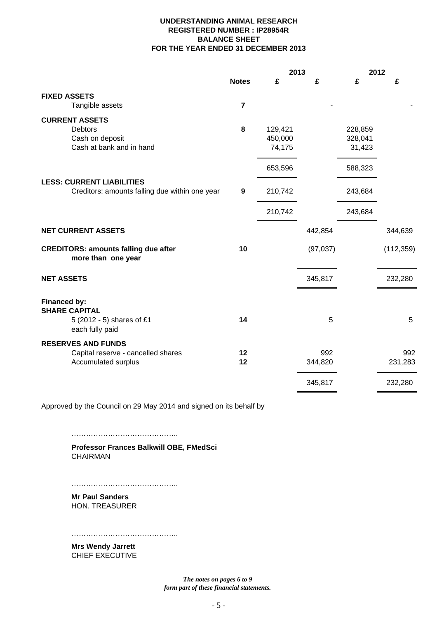## **UNDERSTANDING ANIMAL RESEARCH BALANCE SHEET FOR THE YEAR ENDED 31 DECEMBER 2013 REGISTERED NUMBER : IP28954R**

|                                                                                      |                | 2013    |          | 2012    |            |
|--------------------------------------------------------------------------------------|----------------|---------|----------|---------|------------|
|                                                                                      | <b>Notes</b>   | £       | £        | £       | £          |
| <b>FIXED ASSETS</b>                                                                  |                |         |          |         |            |
| Tangible assets                                                                      | $\overline{7}$ |         |          |         |            |
| <b>CURRENT ASSETS</b>                                                                |                |         |          |         |            |
| <b>Debtors</b>                                                                       | 8              | 129,421 |          | 228,859 |            |
| Cash on deposit                                                                      |                | 450,000 |          | 328,041 |            |
| Cash at bank and in hand                                                             |                | 74,175  |          | 31,423  |            |
|                                                                                      |                | 653,596 |          | 588,323 |            |
| <b>LESS: CURRENT LIABILITIES</b>                                                     |                |         |          |         |            |
| Creditors: amounts falling due within one year                                       | 9              | 210,742 |          | 243,684 |            |
|                                                                                      |                | 210,742 |          | 243,684 |            |
| <b>NET CURRENT ASSETS</b>                                                            |                |         | 442,854  |         | 344,639    |
| <b>CREDITORS: amounts falling due after</b><br>more than one year                    | 10             |         | (97,037) |         | (112, 359) |
| <b>NET ASSETS</b>                                                                    |                |         | 345,817  |         | 232,280    |
| Financed by:<br><b>SHARE CAPITAL</b><br>5 (2012 - 5) shares of £1<br>each fully paid | 14             |         | 5        |         | 5          |
| <b>RESERVES AND FUNDS</b>                                                            |                |         |          |         |            |
| Capital reserve - cancelled shares                                                   | 12             |         | 992      |         | 992        |
| Accumulated surplus                                                                  | 12             |         | 344,820  |         | 231,283    |
|                                                                                      |                |         | 345,817  |         | 232,280    |

Approved by the Council on 29 May 2014 and signed on its behalf by

…………………………………….. **Professor Frances Balkwill OBE, FMedSci** CHAIRMAN

……………………………………..

**Mr Paul Sanders** HON. TREASURER

…………………………………….. **Mrs Wendy Jarrett**

CHIEF EXECUTIVE

*The notes on pages 6 to 9 form part of these financial statements.*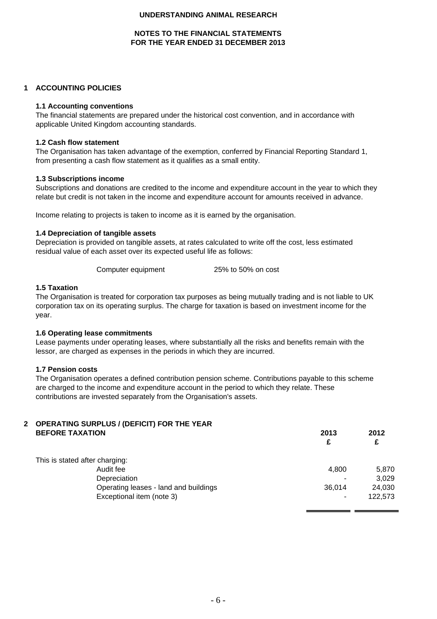## **NOTES TO THE FINANCIAL STATEMENTS FOR THE YEAR ENDED 31 DECEMBER 2013**

## **1 ACCOUNTING POLICIES**

#### **1.1 Accounting conventions**

The financial statements are prepared under the historical cost convention, and in accordance with applicable United Kingdom accounting standards.

#### **1.2 Cash flow statement**

The Organisation has taken advantage of the exemption, conferred by Financial Reporting Standard 1, from presenting a cash flow statement as it qualifies as a small entity.

#### **1.3 Subscriptions income**

Subscriptions and donations are credited to the income and expenditure account in the year to which they relate but credit is not taken in the income and expenditure account for amounts received in advance.

Income relating to projects is taken to income as it is earned by the organisation.

## **1.4 Depreciation of tangible assets**

Depreciation is provided on tangible assets, at rates calculated to write off the cost, less estimated residual value of each asset over its expected useful life as follows:

Computer equipment 25% to 50% on cost

## **1.5 Taxation**

The Organisation is treated for corporation tax purposes as being mutually trading and is not liable to UK corporation tax on its operating surplus. The charge for taxation is based on investment income for the year.

#### **1.6 Operating lease commitments**

Lease payments under operating leases, where substantially all the risks and benefits remain with the lessor, are charged as expenses in the periods in which they are incurred.

#### **1.7 Pension costs**

The Organisation operates a defined contribution pension scheme. Contributions payable to this scheme are charged to the income and expenditure account in the period to which they relate. These contributions are invested separately from the Organisation's assets.

# **2 OPERATING SURPLUS / (DEFICIT) FOR THE YEAR**

| <b>BEFORE TAXATION</b>                | 2013<br>£ | 2012<br>£ |
|---------------------------------------|-----------|-----------|
| This is stated after charging:        |           |           |
| Audit fee                             | 4.800     | 5,870     |
| Depreciation                          |           | 3.029     |
| Operating leases - land and buildings | 36,014    | 24,030    |
| Exceptional item (note 3)             |           | 122.573   |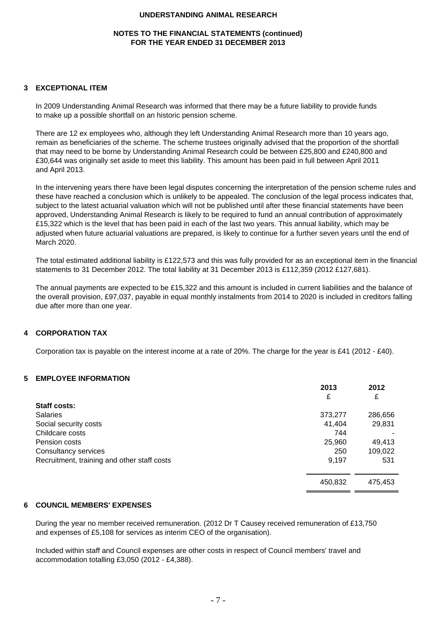## **NOTES TO THE FINANCIAL STATEMENTS (continued) FOR THE YEAR ENDED 31 DECEMBER 2013**

### **3 EXCEPTIONAL ITEM**

In 2009 Understanding Animal Research was informed that there may be a future liability to provide funds to make up a possible shortfall on an historic pension scheme.

There are 12 ex employees who, although they left Understanding Animal Research more than 10 years ago, remain as beneficiaries of the scheme. The scheme trustees originally advised that the proportion of the shortfall that may need to be borne by Understanding Animal Research could be between £25,800 and £240,800 and £30,644 was originally set aside to meet this liability. This amount has been paid in full between April 2011 and April 2013.

In the intervening years there have been legal disputes concerning the interpretation of the pension scheme rules and these have reached a conclusion which is unlikely to be appealed. The conclusion of the legal process indicates that, subject to the latest actuarial valuation which will not be published until after these financial statements have been approved, Understanding Animal Research is likely to be required to fund an annual contribution of approximately £15,322 which is the level that has been paid in each of the last two years. This annual liability, which may be adjusted when future actuarial valuations are prepared, is likely to continue for a further seven years until the end of March 2020.

The total estimated additional liability is £122,573 and this was fully provided for as an exceptional item in the financial statements to 31 December 2012. The total liability at 31 December 2013 is £112,359 (2012 £127,681).

The annual payments are expected to be £15,322 and this amount is included in current liabilities and the balance of the overall provision, £97,037, payable in equal monthly instalments from 2014 to 2020 is included in creditors falling due after more than one year.

## **4 CORPORATION TAX**

Corporation tax is payable on the interest income at a rate of 20%. The charge for the year is £41 (2012 - £40).

## **5 EMPLOYEE INFORMATION**

|                                             | 2013    | 2012    |
|---------------------------------------------|---------|---------|
| Staff costs:                                | £       | £       |
| <b>Salaries</b>                             | 373,277 | 286,656 |
| Social security costs                       | 41,404  | 29,831  |
| Childcare costs                             | 744     |         |
| Pension costs                               | 25,960  | 49,413  |
| Consultancy services                        | 250     | 109,022 |
| Recruitment, training and other staff costs | 9,197   | 531     |
|                                             | 450,832 | 475,453 |

## **6 COUNCIL MEMBERS' EXPENSES**

During the year no member received remuneration. (2012 Dr T Causey received remuneration of £13,750 and expenses of £5,108 for services as interim CEO of the organisation).

Included within staff and Council expenses are other costs in respect of Council members' travel and accommodation totalling £3,050 (2012 - £4,388).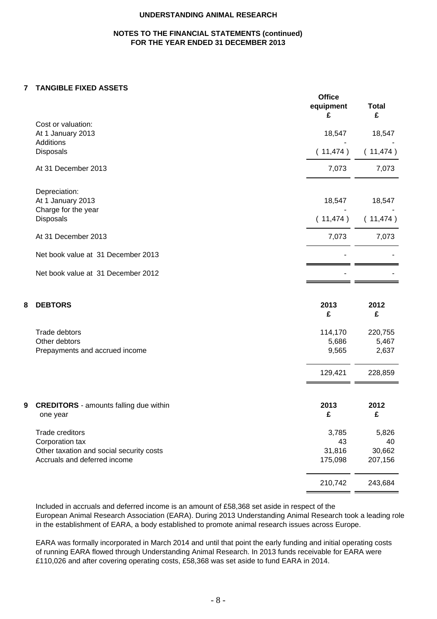## **FOR THE YEAR ENDED 31 DECEMBER 2013 NOTES TO THE FINANCIAL STATEMENTS (continued)**

## **7 TANGIBLE FIXED ASSETS**

|   |                                                                          | <b>Office</b><br>equipment<br>£ | <b>Total</b><br>£ |
|---|--------------------------------------------------------------------------|---------------------------------|-------------------|
|   | Cost or valuation:                                                       |                                 |                   |
|   | At 1 January 2013<br>Additions                                           | 18,547                          | 18,547            |
|   | Disposals                                                                | (11, 474)                       | (11, 474)         |
|   | At 31 December 2013                                                      | 7,073                           | 7,073             |
|   | Depreciation:                                                            |                                 |                   |
|   | At 1 January 2013<br>Charge for the year                                 | 18,547                          | 18,547            |
|   | <b>Disposals</b>                                                         | (11, 474)                       | (11, 474)         |
|   | At 31 December 2013                                                      | 7,073                           | 7,073             |
|   | Net book value at 31 December 2013                                       |                                 |                   |
|   | Net book value at 31 December 2012                                       |                                 |                   |
| 8 | <b>DEBTORS</b>                                                           | 2013<br>£                       | 2012<br>£         |
|   | Trade debtors                                                            | 114,170                         | 220,755           |
|   | Other debtors                                                            | 5,686                           | 5,467             |
|   | Prepayments and accrued income                                           | 9,565                           | 2,637             |
|   |                                                                          | 129,421                         | 228,859           |
|   |                                                                          |                                 |                   |
| 9 | <b>CREDITORS</b> - amounts falling due within<br>one year                | 2013<br>£                       | 2012<br>£         |
|   |                                                                          |                                 |                   |
|   | Trade creditors                                                          | 3,785                           | 5,826             |
|   | Corporation tax                                                          | 43                              | 40                |
|   | Other taxation and social security costs<br>Accruals and deferred income | 31,816<br>175,098               | 30,662<br>207,156 |
|   |                                                                          | 210,742                         | 243,684           |
|   |                                                                          |                                 |                   |

Included in accruals and deferred income is an amount of £58,368 set aside in respect of the European Animal Research Association (EARA). During 2013 Understanding Animal Research took a leading role in the establishment of EARA, a body established to promote animal research issues across Europe.

EARA was formally incorporated in March 2014 and until that point the early funding and initial operating costs of running EARA flowed through Understanding Animal Research. In 2013 funds receivable for EARA were £110,026 and after covering operating costs, £58,368 was set aside to fund EARA in 2014.